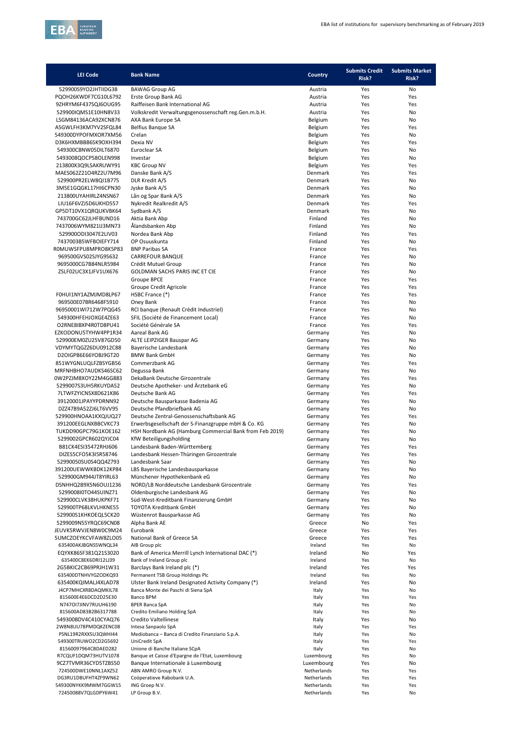

| <b>LEI Code</b>                              | <b>Bank Name</b>                                               | <b>Country</b>     | <b>Submits Credit</b><br>Risk? | <b>Submits Market</b><br>Risk? |
|----------------------------------------------|----------------------------------------------------------------|--------------------|--------------------------------|--------------------------------|
| 529900S9YO2JHTIIDG38                         | <b>BAWAG Group AG</b>                                          | Austria            | Yes                            | No                             |
| PQOH26KWDF7CG10L6792                         | Erste Group Bank AG                                            | Austria            | Yes                            | Yes                            |
| 9ZHRYM6F437SQJ6OUG95                         | Raiffeisen Bank International AG                               | Austria            | Yes                            | Yes                            |
| 529900IQMS1E10HN8V33                         | Volkskredit Verwaltungsgenossenschaft reg. Gen.m.b.H.          | Austria            | Yes                            | No                             |
| LSGM84136ACA92XCN876                         | AXA Bank Europe SA                                             | Belgium            | Yes                            | No                             |
| A5GWLFH3KM7YV2SFQL84                         | Belfius Banque SA                                              | Belgium            | Yes                            | Yes                            |
| 549300DYPOFMXOR7XM56<br>D3K6HXMBBB6SK9OXH394 | Crelan<br>Dexia NV                                             | Belgium<br>Belgium | Yes<br>Yes                     | No<br>Yes                      |
| 549300CBNW05DILT6870                         | Euroclear SA                                                   | Belgium            | Yes                            | No                             |
| 5493008QOCP58OLEN998                         | Investar                                                       | Belgium            | Yes                            | No                             |
| 213800X3Q9LSAKRUWY91                         | <b>KBC Group NV</b>                                            | Belgium            | Yes                            | Yes                            |
| MAES062Z21O4RZ2U7M96                         | Danske Bank A/S                                                | Denmark            | Yes                            | Yes                            |
| 529900PR2ELW8QI1B775                         | <b>DLR Kredit A/S</b>                                          | Denmark            | Yes                            | No                             |
| 3M5E1GQGKL17HI6CPN30                         | Jyske Bank A/S                                                 | Denmark            | Yes                            | No                             |
| 213800UYAHIRLZ4NSN67                         | Lån og Spar Bank A/S                                           | Denmark            | Yes                            | No                             |
| LIU16F6VZJSD6UKHD557                         | Nykredit Realkredit A/S                                        | Denmark            | Yes                            | Yes                            |
| GP5DT10VX1QRQUKVBK64                         | Sydbank A/S                                                    | Denmark            | Yes                            | No                             |
| 743700GC62JLHFBUND16                         | Aktia Bank Abp                                                 | Finland            | Yes                            | No                             |
| 7437006WYM821IJ3MN73                         | Ålandsbanken Abp                                               | Finland            | Yes                            | No                             |
| 529900ODI3047E2LIV03                         | Nordea Bank Abp                                                | Finland            | Yes                            | Yes                            |
| 7437003B5WFBOIEFY714                         | OP Osuuskunta                                                  | Finland            | Yes                            | No                             |
| ROMUWSFPU8MPRO8K5P83                         | <b>BNP Paribas SA</b>                                          | France             | Yes                            | Yes                            |
| 969500GVS02SJYG9S632                         | CARREFOUR BANQUE                                               | France             | Yes                            | No                             |
| 9695000CG7B84NLR5984<br>ZSLF02UC3X1JFV1UX676 | Crédit Mutuel Group                                            | France             | Yes                            | No                             |
|                                              | GOLDMAN SACHS PARIS INC ET CIE<br>Groupe BPCE                  | France<br>France   | Yes<br>Yes                     | No<br>Yes                      |
|                                              | Groupe Credit Agricole                                         | France             | Yes                            | Yes                            |
| F0HUI1NY1AZMJMD8LP67                         | HSBC France (*)                                                | France             | Yes                            | Yes                            |
| 969500E07BR6468F5910                         | Oney Bank                                                      | France             | Yes                            | No                             |
| 96950001WI712W7PQG45                         | RCI banque (Renault Crédit Industriel)                         | France             | Yes                            | No                             |
| 549300HFEHJOXGE4ZE63                         | SFIL (Société de Financement Local)                            | France             | Yes                            | No                             |
| O2RNE8IBXP4R0TD8PU41                         | Société Générale SA                                            | France             | Yes                            | Yes                            |
| EZKODONU5TYHW4PP1R34                         | Aareal Bank AG                                                 | Germany            | Yes                            | No                             |
| 529900EM0ZU25V87GD50                         | ALTE LEIPZIGER Bauspar AG                                      | Germany            | Yes                            | No                             |
| VDYMYTQGZZ6DU0912C88                         | Bayerische Landesbank                                          | Germany            | Yes                            | No                             |
| D2OIGPB6E66YOBJ9GT20                         | <b>BMW Bank GmbH</b>                                           | Germany            | Yes                            | No                             |
| 851WYGNLUQLFZBSYGB56                         | Commerzbank AG                                                 | Germany            | Yes                            | Yes                            |
| MRFNHBHO7AUDKS46SC62                         | Degussa Bank                                                   | Germany            | Yes                            | No                             |
| 0W2PZJM8XOY22M4GG883                         | DekaBank Deutsche Girozentrale                                 | Germany            | Yes                            | Yes                            |
| 5299007S3UH5RKUYDA52                         | Deutsche Apotheker- und Ärztebank eG                           | Germany            | Yes                            | No                             |
| 7LTWFZYICNSX8D621K86                         | Deutsche Bank AG                                               | Germany            | Yes                            | Yes                            |
| 39120001JPAYYPDRNN92<br>DZZ47B9A52ZJ6LT6VV95 | Deutsche Bausparkasse Badenia AG<br>Deutsche Pfandbriefbank AG | Germany<br>Germany | Yes<br>Yes                     | No<br>No                       |
| 529900HNOAA1KXQJUQ27                         | Deutsche Zentral-Genossenschaftsbank AG                        | Germany            | Yes                            | Yes                            |
| 391200EEGLNXBBCVKC73                         | Erwerbsgesellschaft der S-Finanzgruppe mbH & Co. KG            | Germany            | Yes                            | No                             |
| TUKDD90GPC79G1KOE162                         | HSH Nordbank AG (Hamburg Commercial Bank from Feb 2019)        | Germany            | Yes                            | No                             |
| 5299002GPCR602QYJC04                         | KfW Beteiligungsholding                                        | Germany            | Yes                            | No                             |
| B81CK4ESI35472RHJ606                         | Landesbank Baden-Württemberg                                   | Germany            | Yes                            | Yes                            |
| DIZES5CFO5K3I5R58746                         | Landesbank Hessen-Thüringen Girozentrale                       | Germany            | Yes                            | Yes                            |
| 52990050SU0S4QQ4Z793                         | Landesbank Saar                                                | Germany            | Yes                            | No                             |
| 391200UEWWKBDK12KP84                         | LBS Bayerische Landesbausparkasse                              | Germany            | Yes                            | No                             |
| 529900GM944JT8YIRL63                         | Münchener Hypothekenbank eG                                    | Germany            | Yes                            | No                             |
| DSNHHQ2B9X5N6OUJ1236                         | NORD/LB Norddeutsche Landesbank Girozentrale                   | Germany            | Yes                            | Yes                            |
| 5299008l0TO44SUINZ71                         | Oldenburgische Landesbank AG                                   | Germany            | Yes                            | No                             |
| 529900CLVK38HUKPKF71                         | Süd-West-Kreditbank Finanzierung GmbH                          | Germany            | Yes                            | No                             |
| 529900TP68LKVLHKNE55                         | <b>TOYOTA Kreditbank GmbH</b>                                  | Germany            | Yes                            | No                             |
| 529900S1KHKOEQL5CK20                         | Wüstenrot Bausparkasse AG                                      | Germany            | Yes                            | No                             |
| 5299009N55YRQC69CN08                         | Alpha Bank AE                                                  | Greece             | No                             | Yes                            |
| JEUVK5RWVJEN8W0C9M24                         | Eurobank                                                       | Greece             | Yes                            | Yes                            |
| 5UMCZOEYKCVFAW8ZLO05<br>635400AKJBGNS5WNQL34 | National Bank of Greece SA<br>AIB Group plc                    | Greece             | Yes                            | Yes                            |
| EQYXK86SF381Q21S3020                         | Bank of America Merrill Lynch International DAC (*)            | Ireland<br>Ireland | Yes<br>No                      | No<br>Yes                      |
| 635400C8EK6DRI12LJ39                         | Bank of Ireland Group plc                                      | Ireland            | Yes                            | No                             |
| 2G5BKIC2CB69PRJH1W31                         | Barclays Bank Ireland plc (*)                                  | Ireland            | Yes                            | Yes                            |
| 635400DTNHVYGZODKQ93                         | Permanent TSB Group Holdings Plc                               | Ireland            | Yes                            | No                             |
| 635400KQIMALJ4XLAD78                         | Ulster Bank Ireland Designated Activity Company (*)            | Ireland            | Yes                            | No                             |
| J4CP7MHCXR8DAQMKIL78                         | Banca Monte dei Paschi di Siena SpA                            | Italy              | Yes                            | No                             |
| 815600E4E6DCD2D25E30                         | <b>Banco BPM</b>                                               | Italy              | Yes                            | Yes                            |
| N747OI7JINV7RUUH6190                         | <b>BPER Banca SpA</b>                                          | Italy              | Yes                            | No                             |
| 815600AD83B2B6317788                         | Credito Emiliano Holding SpA                                   | Italy              | Yes                            | No                             |
| 549300BDV4C410CYAQ76                         | Credito Valtellinese                                           | Italy              | Yes                            | No                             |
| 2W8N8UU78PMDQKZENC08                         | Intesa Sanpaolo SpA                                            | Italy              | Yes                            | Yes                            |
| PSNL19R2RXX5U3QWHI44                         | Mediobanca - Banca di Credito Finanziario S.p.A.               | Italy              | Yes                            | No                             |
| 549300TRUWO2CD2G5692<br>81560097964CBDAED282 | UniCredit SpA<br>Unione di Banche Italiane SCpA                | Italy<br>Italy     | Yes<br>Yes                     | Yes<br>No                      |
| R7CQUF1DQM73HUTV1078                         | Banque et Caisse d'Epargne de l'Etat, Luxembourg               | Luxembourg         | Yes                            | No                             |
| 9CZ7TVMR36CYD5TZBS50                         | Banque Internationale à Luxembourg                             | Luxembourg         | Yes                            | No                             |
| 724500DWE10NNL1AXZ52                         | ABN AMRO Group N.V.                                            | Netherlands        | Yes                            | Yes                            |
| DG3RU1DBUFHT4ZF9WN62                         | Coöperatieve Rabobank U.A.                                     | Netherlands        | Yes                            | Yes                            |
| 549300NYKK9MWM7GGW15                         | ING Groep N.V.                                                 | Netherlands        | Yes                            | Yes                            |
| 72450088V7QLGDPY6W41                         | LP Group B.V.                                                  | Netherlands        | Yes                            | No                             |